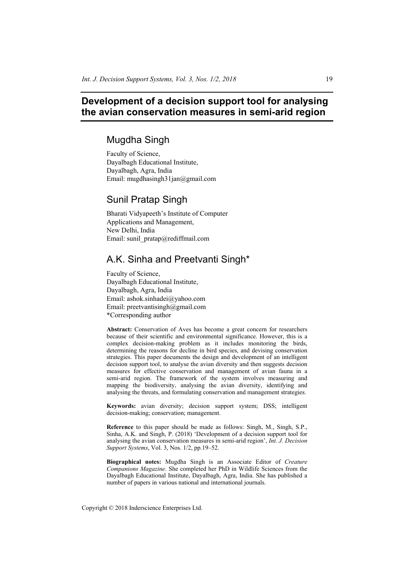# **Development of a decision support tool for analysing the avian conservation measures in semi-arid region**

# Mugdha Singh

Faculty of Science, Dayalbagh Educational Institute, Dayalbagh, Agra, India Email: mugdhasingh31jan@gmail.com

# Sunil Pratap Singh

Bharati Vidyapeeth's Institute of Computer Applications and Management, New Delhi, India Email: sunil\_pratap@rediffmail.com

# A.K. Sinha and Preetvanti Singh\*

Faculty of Science, Dayalbagh Educational Institute, Dayalbagh, Agra, India Email: ashok.sinhadei@yahoo.com Email: preetvantisingh@gmail.com \*Corresponding author

**Abstract:** Conservation of Aves has become a great concern for researchers because of their scientific and environmental significance. However, this is a complex decision-making problem as it includes monitoring the birds, determining the reasons for decline in bird species, and devising conservation strategies. This paper documents the design and development of an intelligent decision support tool, to analyse the avian diversity and then suggests decision measures for effective conservation and management of avian fauna in a semi-arid region. The framework of the system involves measuring and mapping the biodiversity, analysing the avian diversity, identifying and analysing the threats, and formulating conservation and management strategies.

**Keywords:** avian diversity; decision support system; DSS; intelligent decision-making; conservation; management.

**Reference** to this paper should be made as follows: Singh, M., Singh, S.P., Sinha, A.K. and Singh, P. (2018) 'Development of a decision support tool for analysing the avian conservation measures in semi-arid region', *Int. J. Decision Support Systems*, Vol. 3, Nos. 1/2, pp.19–52.

**Biographical notes:** Mugdha Singh is an Associate Editor of *Creature Companions Magazine*. She completed her PhD in Wildlife Sciences from the Dayalbagh Educational Institute, Dayalbagh, Agra, India. She has published a number of papers in various national and international journals.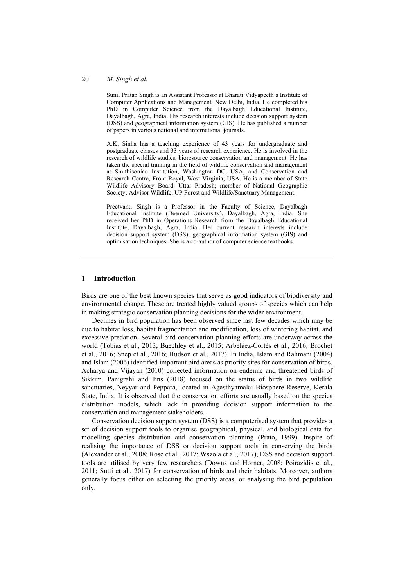Sunil Pratap Singh is an Assistant Professor at Bharati Vidyapeeth's Institute of Computer Applications and Management, New Delhi, India. He completed his PhD in Computer Science from the Dayalbagh Educational Institute, Dayalbagh, Agra, India. His research interests include decision support system (DSS) and geographical information system (GIS). He has published a number of papers in various national and international journals.

A.K. Sinha has a teaching experience of 43 years for undergraduate and postgraduate classes and 33 years of research experience. He is involved in the research of wildlife studies, bioresource conservation and management. He has taken the special training in the field of wildlife conservation and management at Smithisonian Institution, Washington DC, USA, and Conservation and Research Centre, Front Royal, West Virginia, USA. He is a member of State Wildlife Advisory Board, Uttar Pradesh; member of National Geographic Society; Advisor Wildlife, UP Forest and Wildlife/Sanctuary Management.

Preetvanti Singh is a Professor in the Faculty of Science, Dayalbagh Educational Institute (Deemed University), Dayalbagh, Agra, India. She received her PhD in Operations Research from the Dayalbagh Educational Institute, Dayalbagh, Agra, India. Her current research interests include decision support system (DSS), geographical information system (GIS) and optimisation techniques. She is a co-author of computer science textbooks.

#### **1 Introduction**

Birds are one of the best known species that serve as good indicators of biodiversity and environmental change. These are treated highly valued groups of species which can help in making strategic conservation planning decisions for the wider environment.

Declines in bird population has been observed since last few decades which may be due to habitat loss, habitat fragmentation and modification, loss of wintering habitat, and excessive predation. Several bird conservation planning efforts are underway across the world (Tobias et al., 2013; Buechley et al., 2015; Arbeláez-Cortés et al., 2016; Brochet et al., 2016; Snep et al., 2016; Hudson et al., 2017). In India, Islam and Rahmani (2004) and Islam (2006) identified important bird areas as priority sites for conservation of birds. Acharya and Vijayan (2010) collected information on endemic and threatened birds of Sikkim. Panigrahi and Jins (2018) focused on the status of birds in two wildlife sanctuaries, Neyyar and Peppara, located in Agasthyamalai Biosphere Reserve, Kerala State, India. It is observed that the conservation efforts are usually based on the species distribution models, which lack in providing decision support information to the conservation and management stakeholders.

Conservation decision support system (DSS) is a computerised system that provides a set of decision support tools to organise geographical, physical, and biological data for modelling species distribution and conservation planning (Prato, 1999). Inspite of realising the importance of DSS or decision support tools in conserving the birds (Alexander et al., 2008; Rose et al., 2017; Wszola et al., 2017), DSS and decision support tools are utilised by very few researchers (Downs and Horner, 2008; Poirazidis et al., 2011; Sutti et al., 2017) for conservation of birds and their habitats. Moreover, authors generally focus either on selecting the priority areas, or analysing the bird population only.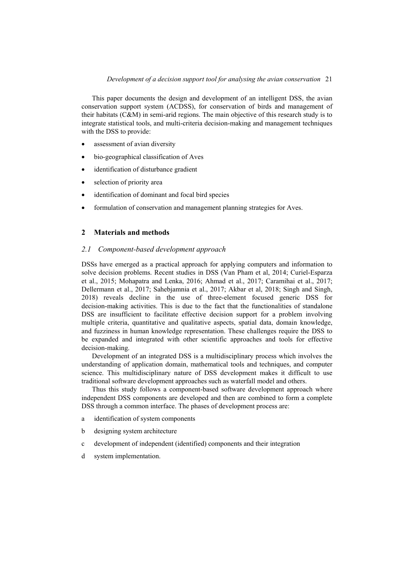This paper documents the design and development of an intelligent DSS, the avian conservation support system (ACDSS), for conservation of birds and management of their habitats (C&M) in semi-arid regions. The main objective of this research study is to integrate statistical tools, and multi-criteria decision-making and management techniques with the DSS to provide:

- assessment of avian diversity
- bio-geographical classification of Aves
- identification of disturbance gradient
- selection of priority area
- identification of dominant and focal bird species
- formulation of conservation and management planning strategies for Aves.

#### **2 Materials and methods**

#### *2.1 Component-based development approach*

DSSs have emerged as a practical approach for applying computers and information to solve decision problems. Recent studies in DSS (Van Pham et al, 2014; Curiel-Esparza et al., 2015; Mohapatra and Lenka, 2016; Ahmad et al., 2017; Caramihai et al., 2017; Dellermann et al., 2017; Sahebjamnia et al., 2017; Akbar et al, 2018; Singh and Singh, 2018) reveals decline in the use of three-element focused generic DSS for decision-making activities. This is due to the fact that the functionalities of standalone DSS are insufficient to facilitate effective decision support for a problem involving multiple criteria, quantitative and qualitative aspects, spatial data, domain knowledge, and fuzziness in human knowledge representation. These challenges require the DSS to be expanded and integrated with other scientific approaches and tools for effective decision-making.

Development of an integrated DSS is a multidisciplinary process which involves the understanding of application domain, mathematical tools and techniques, and computer science. This multidisciplinary nature of DSS development makes it difficult to use traditional software development approaches such as waterfall model and others.

Thus this study follows a component-based software development approach where independent DSS components are developed and then are combined to form a complete DSS through a common interface. The phases of development process are:

- a identification of system components
- b designing system architecture
- c development of independent (identified) components and their integration
- d system implementation.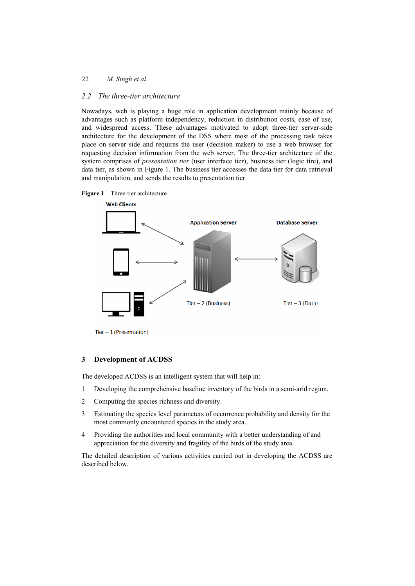### *2.2 The three-tier architecture*

Nowadays, web is playing a huge role in application development mainly because of advantages such as platform independency, reduction in distribution costs, ease of use, and widespread access. These advantages motivated to adopt three-tier server-side architecture for the development of the DSS where most of the processing task takes place on server side and requires the user (decision maker) to use a web browser for requesting decision information from the web server. The three-tier architecture of the system comprises of *presentation tier* (user interface tier), business tier (logic tire), and data tier, as shown in Figure 1. The business tier accesses the data tier for data retrieval and manipulation, and sends the results to presentation tier.





 $Tier - 1$  (Presentation)

#### **3 Development of ACDSS**

The developed ACDSS is an intelligent system that will help in:

- 1 Developing the comprehensive baseline inventory of the birds in a semi-arid region.
- 2 Computing the species richness and diversity.
- 3 Estimating the species level parameters of occurrence probability and density for the most commonly encountered species in the study area.
- 4 Providing the authorities and local community with a better understanding of and appreciation for the diversity and fragility of the birds of the study area.

The detailed description of various activities carried out in developing the ACDSS are described below.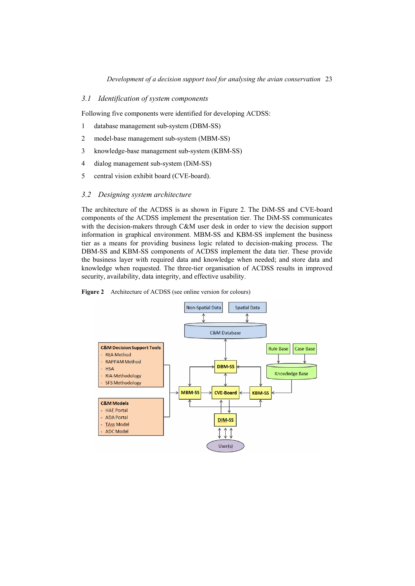### *3.1 Identification of system components*

Following five components were identified for developing ACDSS:

- 1 database management sub-system (DBM-SS)
- 2 model-base management sub-system (MBM-SS)
- 3 knowledge-base management sub-system (KBM-SS)
- 4 dialog management sub-system (DiM-SS)
- 5 central vision exhibit board (CVE-board).

#### *3.2 Designing system architecture*

The architecture of the ACDSS is as shown in Figure 2. The DiM-SS and CVE-board components of the ACDSS implement the presentation tier. The DiM-SS communicates with the decision-makers through C&M user desk in order to view the decision support information in graphical environment. MBM-SS and KBM-SS implement the business tier as a means for providing business logic related to decision-making process. The DBM-SS and KBM-SS components of ACDSS implement the data tier. These provide the business layer with required data and knowledge when needed; and store data and knowledge when requested. The three-tier organisation of ACDSS results in improved security, availability, data integrity, and effective usability.

#### **Figure 2** Architecture of ACDSS (see online version for colours)

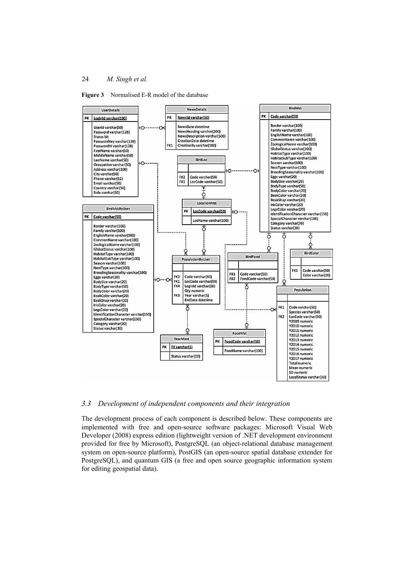



### *3.3 Development of independent components and their integration*

The development process of each component is described below. These components are implemented with free and open-source software packages: Microsoft Visual Web Developer (2008) express edition (lightweight version of .NET development environment provided for free by Microsoft), PostgreSQL (an object-relational database management system on open-source platform), PostGIS (an open-source spatial database extender for PostgreSQL), and quantum GIS (a free and open source geographic information system for editing geospatial data).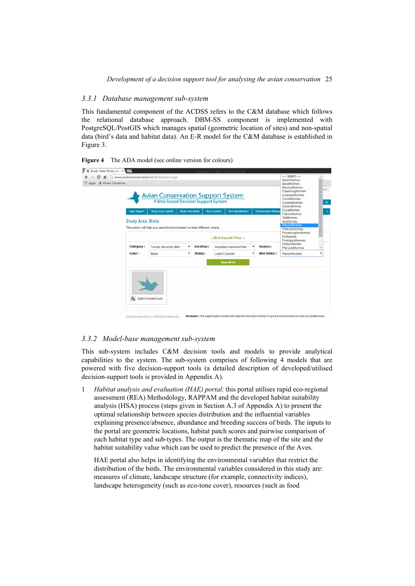### *3.3.1 Database management sub-system*

This fundamental component of the ACDSS refers to the C&M database which follows the relational database approach. DBM-SS component is implemented with PostgreSQL/PostGIS which manages spatial (geometric location of sites) and non-spatial data (bird's data and habitat data). An E-R model for the C&M database is established in Figure 3.

**Figure 4** The ADA model (see online version for colours)

| ::: Apps & Avian Conserva |                          | <b>Avian Conservation Support System</b><br>A Web-based Decision Support System |                         |           |                      |                                                              |   |                            | Anseriformes<br>Apodiformes<br><b>Bucerotiformes</b><br>Caprimulgiformes<br>Charadrilformes<br>Ciconiformes<br>Columbiformes<br>Coraciiformes |
|---------------------------|--------------------------|---------------------------------------------------------------------------------|-------------------------|-----------|----------------------|--------------------------------------------------------------|---|----------------------------|-----------------------------------------------------------------------------------------------------------------------------------------------|
|                           | Agra Region              | <b>Study Area Habitat</b>                                                       | <b>Study Area Birds</b> |           | <b>Bird Location</b> | <b>Bird Identification</b>                                   |   | <b>Conservation Strate</b> | Cuculiformes<br>Falconiformes                                                                                                                 |
|                           | <b>Study Area Birds</b>  |                                                                                 |                         |           |                      |                                                              |   |                            | Galliformes<br>Gruiformes                                                                                                                     |
|                           |                          | This option will help you searching birds based on their different criteria.    |                         |           |                      |                                                              |   |                            | <b>Passerformes</b><br><b>Pelecaniformes</b>                                                                                                  |
|                           | :: Bird Search Filter :: |                                                                                 |                         |           |                      | Phoenicopteriformes<br><b>Piciformes</b><br>Podicipediformes |   |                            |                                                                                                                                               |
|                           | Category:                | <b>Tourist Attraction Bird</b>                                                  | ٠                       | Location: |                      | Keoladeo National Park                                       | ۰ | Season:                    | Psittaciformes<br><b>Pteroclidiformes</b>                                                                                                     |
|                           | Color:                   | Black                                                                           | ٠                       | Status:   | Least Concern        |                                                              |   | <b>Bird Order:</b>         | Passeriformes                                                                                                                                 |
|                           |                          |                                                                                 |                         |           |                      | <b>View Birds</b>                                            |   |                            |                                                                                                                                               |
|                           |                          |                                                                                 |                         |           |                      |                                                              |   |                            |                                                                                                                                               |

#### *3.3.2 Model-base management sub-system*

This sub-system includes C&M decision tools and models to provide analytical capabilities to the system. The sub-system comprises of following 4 models that are powered with five decision-support tools (a detailed description of developed/utilised decision-support tools is provided in Appendix A).

1 *Habitat analysis and evaluation (HAE) portal*: this portal utilises rapid eco-regional assessment (REA) Methodology, RAPPAM and the developed habitat suitability analysis (HSA) process (steps given in Section A.3 of Appendix A) to present the optimal relationship between species distribution and the influential variables explaining presence/absence, abundance and breeding success of birds. The inputs to the portal are geometric locations, habitat patch scores and pairwise comparison of each habitat type and sub-types. The output is the thematic map of the site and the habitat suitability value which can be used to predict the presence of the Aves.

HAE portal also helps in identifying the environmental variables that restrict the distribution of the birds. The environmental variables considered in this study are: measures of climate, landscape structure (for example, connectivity indices), landscape heterogeneity (such as eco-tone cover), resources (such as food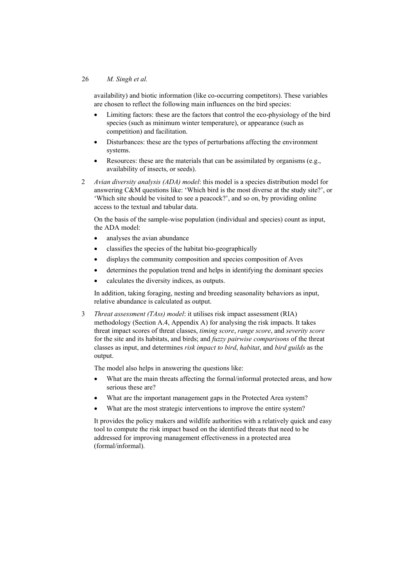availability) and biotic information (like co-occurring competitors). These variables are chosen to reflect the following main influences on the bird species:

- Limiting factors: these are the factors that control the eco-physiology of the bird species (such as minimum winter temperature), or appearance (such as competition) and facilitation.
- Disturbances: these are the types of perturbations affecting the environment systems.
- Resources: these are the materials that can be assimilated by organisms (e.g., availability of insects, or seeds).
- 2 *Avian diversity analysis (ADA) model*: this model is a species distribution model for answering C&M questions like: 'Which bird is the most diverse at the study site?', or 'Which site should be visited to see a peacock?', and so on, by providing online access to the textual and tabular data.

On the basis of the sample-wise population (individual and species) count as input, the ADA model:

- analyses the avian abundance
- x classifies the species of the habitat bio-geographically
- displays the community composition and species composition of Aves
- determines the population trend and helps in identifying the dominant species
- calculates the diversity indices, as outputs.

In addition, taking foraging, nesting and breeding seasonality behaviors as input, relative abundance is calculated as output.

3 *Threat assessment (TAss) model*: it utilises risk impact assessment (RIA) methodology (Section A.4, Appendix A) for analysing the risk impacts. It takes threat impact scores of threat classes, *timing score*, *range score*, and *severity score* for the site and its habitats, and birds; and *fuzzy pairwise comparisons* of the threat classes as input, and determines *risk impact to bird*, *habitat*, and *bird guilds* as the output.

The model also helps in answering the questions like:

- What are the main threats affecting the formal/informal protected areas, and how serious these are?
- What are the important management gaps in the Protected Area system?
- What are the most strategic interventions to improve the entire system?

It provides the policy makers and wildlife authorities with a relatively quick and easy tool to compute the risk impact based on the identified threats that need to be addressed for improving management effectiveness in a protected area (formal/informal).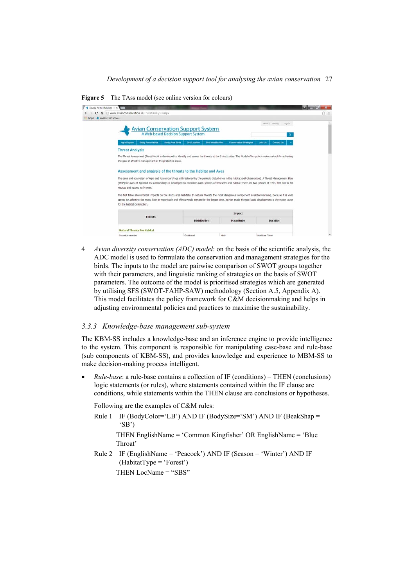**Figure 5** The TAss model (see online version for colours)

| Apps + Avian Conserva |                                                                                                                                                                                                                                                                                                                                                            |                                                                                 |                                                       |                                     | ☆ ≡ |
|-----------------------|------------------------------------------------------------------------------------------------------------------------------------------------------------------------------------------------------------------------------------------------------------------------------------------------------------------------------------------------------------|---------------------------------------------------------------------------------|-------------------------------------------------------|-------------------------------------|-----|
|                       |                                                                                                                                                                                                                                                                                                                                                            | <b>Avian Conservation Support System</b><br>A Web-based Decision Support System |                                                       | Home I Setting I Logout<br>$\alpha$ |     |
|                       | Study Area Habitat<br>Agra Region                                                                                                                                                                                                                                                                                                                          | Study Area Birds<br><b>Bird Location</b>                                        | Conservation Strategies<br><b>Bird Identification</b> | Join Us<br>Contact Us               |     |
|                       | <b>Threat Analysis</b>                                                                                                                                                                                                                                                                                                                                     |                                                                                 |                                                       |                                     |     |
|                       | The Threat Assessment (TAss) Model is developed to identify and assess the threats at the 5 study sites. The Model offers policy makers a tool for achieving<br>the goal of effective management of the protected areas.                                                                                                                                   |                                                                                 |                                                       |                                     |     |
|                       | Assessment and analysis of the threats to the Habitat and Aves                                                                                                                                                                                                                                                                                             |                                                                                 |                                                       |                                     |     |
|                       | The semi and ecosystem of Agra and its surroundings is threatened by the periodic disturbance in the habitat (self-observation). A Threat Management Plan<br>(TMP) for aves of Agraand its surroundings is developed to conserve avian species of this semi-arid habitat. There are two phases of TMP, first one is for<br>Habitat and second is for Aves. |                                                                                 |                                                       |                                     |     |
|                       | The first table shows threat impacts on the study area habitats. In natural threats the most dangerous component is Global warming, because it is wide<br>spread i.e. affecting the mass, high in magnitude and effects would remain for the longer time. In Man made threats Rapid development is the major cause<br>for the habitat destruction.         |                                                                                 |                                                       |                                     |     |
|                       | <b>Threats</b>                                                                                                                                                                                                                                                                                                                                             |                                                                                 | Impact                                                |                                     |     |
|                       |                                                                                                                                                                                                                                                                                                                                                            | <b>Distribution</b>                                                             | Magnitude                                             | <b>Duration</b>                     |     |
|                       | <b>Natural Threats For Habitat</b>                                                                                                                                                                                                                                                                                                                         |                                                                                 |                                                       |                                     |     |
|                       | <b>Invasive snecies</b>                                                                                                                                                                                                                                                                                                                                    | Scattered                                                                       | High                                                  | Medium Term                         | w.  |

4 *Avian diversity conservation (ADC) model*: on the basis of the scientific analysis, the ADC model is used to formulate the conservation and management strategies for the birds. The inputs to the model are pairwise comparison of SWOT groups together with their parameters, and linguistic ranking of strategies on the basis of SWOT parameters. The outcome of the model is prioritised strategies which are generated by utilising SFS (SWOT-FAHP-SAW) methodology (Section A.5, Appendix A). This model facilitates the policy framework for C&M decisionmaking and helps in adjusting environmental policies and practices to maximise the sustainability.

#### *3.3.3 Knowledge-base management sub-system*

The KBM-SS includes a knowledge-base and an inference engine to provide intelligence to the system. This component is responsible for manipulating case-base and rule-base (sub components of KBM-SS), and provides knowledge and experience to MBM-SS to make decision-making process intelligent.

x *Rule-base*: a rule-base contains a collection of IF (conditions) – THEN (conclusions) logic statements (or rules), where statements contained within the IF clause are conditions, while statements within the THEN clause are conclusions or hypotheses.

Following are the examples of C&M rules:

Rule 1 IF (BodyColor='LB') AND IF (BodySize='SM') AND IF (BeakShap = 'SB')

THEN EnglishName = 'Common Kingfisher' OR EnglishName = 'Blue Throat'

Rule 2 IF (EnglishName = 'Peacock') AND IF (Season = 'Winter') AND IF (HabitatType = 'Forest')

THEN LocName = "SBS"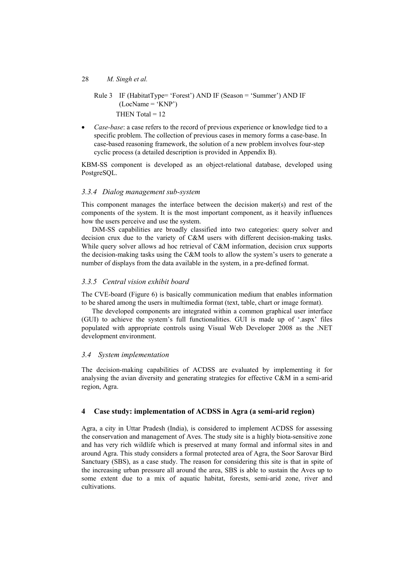# Rule 3 IF (HabitatType= 'Forest') AND IF (Season = 'Summer') AND IF  $(LocName = 'KNP')$ THEN Total  $= 12$

*Case-base*: a case refers to the record of previous experience or knowledge tied to a specific problem. The collection of previous cases in memory forms a case-base. In case-based reasoning framework, the solution of a new problem involves four-step cyclic process (a detailed description is provided in Appendix B).

KBM-SS component is developed as an object-relational database, developed using PostgreSQL.

#### *3.3.4 Dialog management sub-system*

This component manages the interface between the decision maker(s) and rest of the components of the system. It is the most important component, as it heavily influences how the users perceive and use the system.

DiM-SS capabilities are broadly classified into two categories: query solver and decision crux due to the variety of C&M users with different decision-making tasks. While query solver allows ad hoc retrieval of C&M information, decision crux supports the decision-making tasks using the C&M tools to allow the system's users to generate a number of displays from the data available in the system, in a pre-defined format.

#### *3.3.5 Central vision exhibit board*

The CVE-board (Figure 6) is basically communication medium that enables information to be shared among the users in multimedia format (text, table, chart or image format).

The developed components are integrated within a common graphical user interface (GUI) to achieve the system's full functionalities. GUI is made up of '.aspx' files populated with appropriate controls using Visual Web Developer 2008 as the .NET development environment.

#### *3.4 System implementation*

The decision-making capabilities of ACDSS are evaluated by implementing it for analysing the avian diversity and generating strategies for effective C&M in a semi-arid region, Agra.

#### **4 Case study: implementation of ACDSS in Agra (a semi-arid region)**

Agra, a city in Uttar Pradesh (India), is considered to implement ACDSS for assessing the conservation and management of Aves. The study site is a highly biota-sensitive zone and has very rich wildlife which is preserved at many formal and informal sites in and around Agra. This study considers a formal protected area of Agra, the Soor Sarovar Bird Sanctuary (SBS), as a case study. The reason for considering this site is that in spite of the increasing urban pressure all around the area, SBS is able to sustain the Aves up to some extent due to a mix of aquatic habitat, forests, semi-arid zone, river and cultivations.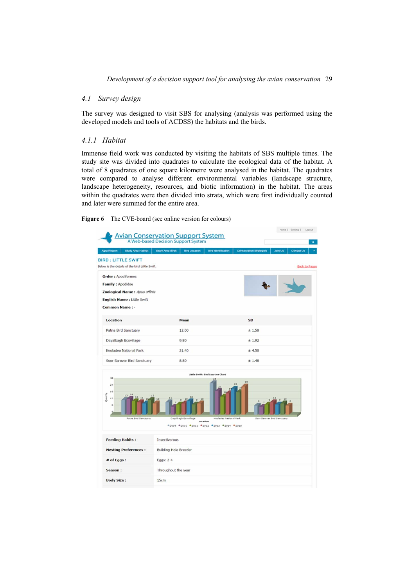#### *4.1 Survey design*

The survey was designed to visit SBS for analysing (analysis was performed using the developed models and tools of ACDSS) the habitats and the birds.

#### *4.1.1 Habitat*

Immense field work was conducted by visiting the habitats of SBS multiple times. The study site was divided into quadrates to calculate the ecological data of the habitat. A total of 8 quadrates of one square kilometre were analysed in the habitat. The quadrates were compared to analyse different environmental variables (landscape structure, landscape heterogeneity, resources, and biotic information) in the habitat. The areas within the quadrates were then divided into strata, which were first individually counted and later were summed for the entire area.

**Figure 6** The CVE-board (see online version for colours)

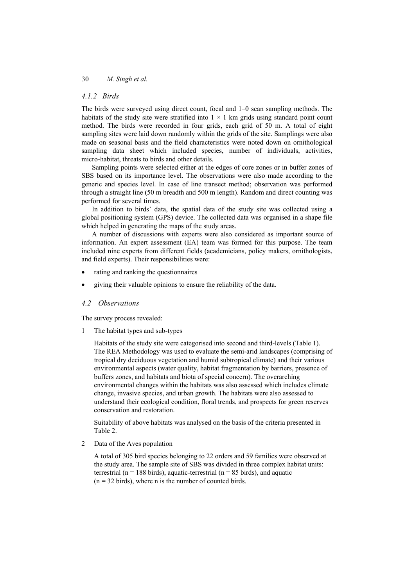#### *4.1.2 Birds*

The birds were surveyed using direct count, focal and 1–0 scan sampling methods. The habitats of the study site were stratified into  $1 \times 1$  km grids using standard point count method. The birds were recorded in four grids, each grid of 50 m. A total of eight sampling sites were laid down randomly within the grids of the site. Samplings were also made on seasonal basis and the field characteristics were noted down on ornithological sampling data sheet which included species, number of individuals, activities, micro-habitat, threats to birds and other details.

Sampling points were selected either at the edges of core zones or in buffer zones of SBS based on its importance level. The observations were also made according to the generic and species level. In case of line transect method; observation was performed through a straight line (50 m breadth and 500 m length). Random and direct counting was performed for several times.

In addition to birds' data, the spatial data of the study site was collected using a global positioning system (GPS) device. The collected data was organised in a shape file which helped in generating the maps of the study areas.

A number of discussions with experts were also considered as important source of information. An expert assessment (EA) team was formed for this purpose. The team included nine experts from different fields (academicians, policy makers, ornithologists, and field experts). Their responsibilities were:

- rating and ranking the questionnaires
- giving their valuable opinions to ensure the reliability of the data.

#### *4.2 Observations*

The survey process revealed:

1 The habitat types and sub-types

Habitats of the study site were categorised into second and third-levels (Table 1). The REA Methodology was used to evaluate the semi-arid landscapes (comprising of tropical dry deciduous vegetation and humid subtropical climate) and their various environmental aspects (water quality, habitat fragmentation by barriers, presence of buffers zones, and habitats and biota of special concern). The overarching environmental changes within the habitats was also assessed which includes climate change, invasive species, and urban growth. The habitats were also assessed to understand their ecological condition, floral trends, and prospects for green reserves conservation and restoration.

Suitability of above habitats was analysed on the basis of the criteria presented in Table 2.

2 Data of the Aves population

A total of 305 bird species belonging to 22 orders and 59 families were observed at the study area. The sample site of SBS was divided in three complex habitat units: terrestrial ( $n = 188$  birds), aquatic-terrestrial ( $n = 85$  birds), and aquatic  $(n = 32$  birds), where n is the number of counted birds.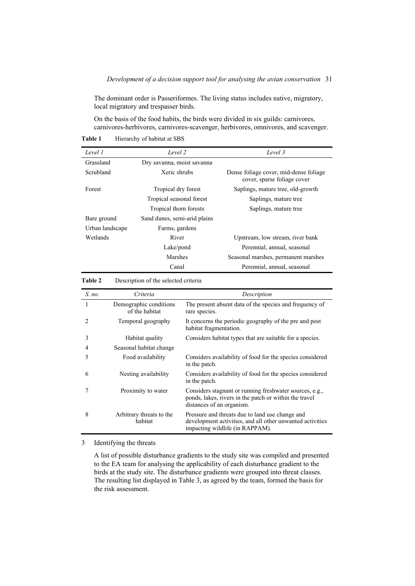The dominant order is Passeriformes. The living status includes native, migratory, local migratory and trespasser birds.

On the basis of the food habits, the birds were divided in six guilds: carnivores, carnivores-herbivores, carnivores-scavenger, herbivores, omnivores, and scavenger.

Table 1 Hierarchy of habitat at SBS

| Level 1         | Level 2                      | Level 3                                                               |
|-----------------|------------------------------|-----------------------------------------------------------------------|
| Grassland       | Dry savanna, moist savanna   |                                                                       |
| Scrubland       | Xeric shrubs                 | Dense foliage cover, mid-dense foliage<br>cover, sparse foliage cover |
| Forest          | Tropical dry forest          | Saplings, mature tree, old-growth                                     |
|                 | Tropical seasonal forest     | Saplings, mature tree                                                 |
|                 | Tropical thorn forests       | Saplings, mature tree                                                 |
| Bare ground     | Sand dunes, semi-arid plains |                                                                       |
| Urban landscape | Farms, gardens               |                                                                       |
| Wetlands        | River                        | Upstream, low stream, river bank                                      |
|                 | Lake/pond                    | Perennial, annual, seasonal                                           |
|                 | Marshes                      | Seasonal marshes, permanent marshes                                   |
|                 | Canal                        | Perennial, annual, seasonal                                           |

**Table 2** Description of the selected criteria

| S. no.                      | Criteria                                 | Description                                                                                                                                     |
|-----------------------------|------------------------------------------|-------------------------------------------------------------------------------------------------------------------------------------------------|
| 1                           | Demographic conditions<br>of the habitat | The present absent data of the species and frequency of<br>rare species.                                                                        |
| $\mathcal{D}_{\mathcal{L}}$ | Temporal geography                       | It concerns the periodic geography of the pre and post<br>habitat fragmentation.                                                                |
| 3                           | Habitat quality                          | Considers habitat types that are suitable for a species.                                                                                        |
| 4                           | Seasonal habitat change                  |                                                                                                                                                 |
| 5                           | Food availability                        | Considers availability of food for the species considered<br>in the patch.                                                                      |
| 6                           | Nesting availability                     | Considers availability of food for the species considered<br>in the patch.                                                                      |
|                             | Proximity to water                       | Considers stagnant or running freshwater sources, e.g.,<br>ponds, lakes, rivers in the patch or within the travel<br>distances of an organism.  |
| 8                           | Arbitrary threats to the<br>habitat      | Pressure and threats due to land use change and<br>development activities, and all other unwanted activities<br>impacting wildlife (in RAPPAM). |

3 Identifying the threats

A list of possible disturbance gradients to the study site was compiled and presented to the EA team for analysing the applicability of each disturbance gradient to the birds at the study site. The disturbance gradients were grouped into threat classes. The resulting list displayed in Table 3, as agreed by the team, formed the basis for the risk assessment.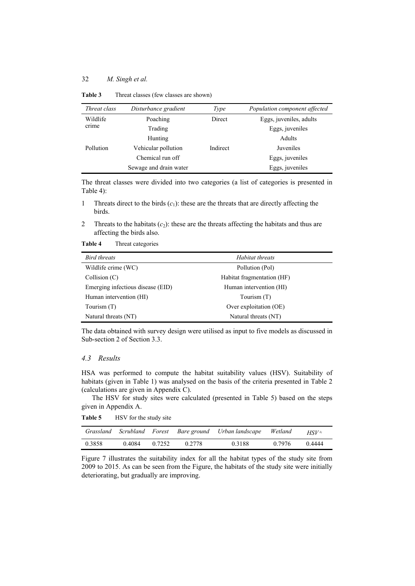| Threat class | Disturbance gradient   | Type     | Population component affected |
|--------------|------------------------|----------|-------------------------------|
| Wildlife     | Poaching               | Direct   | Eggs, juveniles, adults       |
| crime        | Trading                |          | Eggs, juveniles               |
|              | Hunting                |          | Adults                        |
| Pollution    | Vehicular pollution    | Indirect | Juveniles                     |
|              | Chemical run off       |          | Eggs, juveniles               |
|              | Sewage and drain water |          | Eggs, juveniles               |

**Table 3** Threat classes (few classes are shown)

The threat classes were divided into two categories (a list of categories is presented in Table 4):

1 Threats direct to the birds  $(c_1)$ : these are the threats that are directly affecting the birds.

2 Threats to the habitats  $(c_2)$ : these are the threats affecting the habitats and thus are affecting the birds also.

**Table 4** Threat categories

| Bird threats                      | Habitat threats            |
|-----------------------------------|----------------------------|
| Wildlife crime (WC)               | Pollution (Pol)            |
| Collision(C)                      | Habitat fragmentation (HF) |
| Emerging infectious disease (EID) | Human intervention (HI)    |
| Human intervention (HI)           | Tourism (T)                |
| Tourism (T)                       | Over exploitation (OE)     |
| Natural threats (NT)              | Natural threats (NT)       |

The data obtained with survey design were utilised as input to five models as discussed in Sub-section 2 of Section 3.3.

### *4.3 Results*

HSA was performed to compute the habitat suitability values (HSV). Suitability of habitats (given in Table 1) was analysed on the basis of the criteria presented in Table 2 (calculations are given in Appendix C).

The HSV for study sites were calculated (presented in Table 5) based on the steps given in Appendix A.

Table 5 HSV for the study site

|        |        |        |        | Grassland Scrubland Forest Bare ground Urban landscape | Wetland | $HSV^{z_i}$ |
|--------|--------|--------|--------|--------------------------------------------------------|---------|-------------|
| 0.3858 | 0.4084 | 0.7252 | 0.2778 | 0.3188                                                 | 0.7976  | 0.4444      |

Figure 7 illustrates the suitability index for all the habitat types of the study site from 2009 to 2015. As can be seen from the Figure, the habitats of the study site were initially deteriorating, but gradually are improving.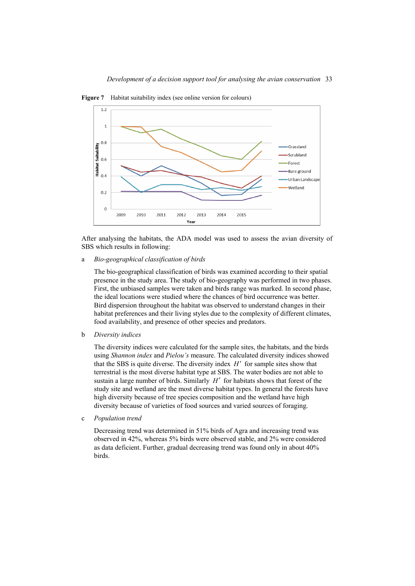

**Figure 7** Habitat suitability index (see online version for colours)

After analysing the habitats, the ADA model was used to assess the avian diversity of SBS which results in following:

a *Bio-geographical classification of birds*

The bio-geographical classification of birds was examined according to their spatial presence in the study area. The study of bio-geography was performed in two phases. First, the unbiased samples were taken and birds range was marked. In second phase, the ideal locations were studied where the chances of bird occurrence was better. Bird dispersion throughout the habitat was observed to understand changes in their habitat preferences and their living styles due to the complexity of different climates, food availability, and presence of other species and predators.

b *Diversity indices*

The diversity indices were calculated for the sample sites, the habitats, and the birds using *Shannon index* and *Pielou's* measure. The calculated diversity indices showed that the SBS is quite diverse. The diversity index  $H'$  for sample sites show that terrestrial is the most diverse habitat type at SBS. The water bodies are not able to sustain a large number of birds. Similarly  $H'$  for habitats shows that forest of the study site and wetland are the most diverse habitat types. In general the forests have high diversity because of tree species composition and the wetland have high diversity because of varieties of food sources and varied sources of foraging.

c *Population trend*

Decreasing trend was determined in 51% birds of Agra and increasing trend was observed in 42%, whereas 5% birds were observed stable, and 2% were considered as data deficient. Further, gradual decreasing trend was found only in about 40% birds.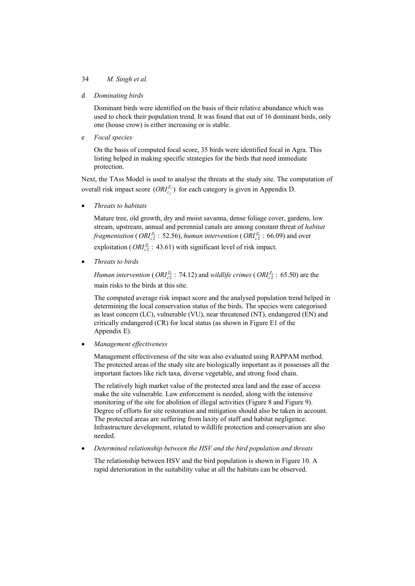d *Dominating birds*

Dominant birds were identified on the basis of their relative abundance which was used to check their population trend. It was found that out of 16 dominant birds, only one (house crow) is either increasing or is stable.

e *Focal species*

On the basis of computed focal score, 35 birds were identified focal in Agra. This listing helped in making specific strategies for the birds that need immediate protection.

Next, the TAss Model is used to analyse the threats at the study site. The computation of overall risk impact score  $(ORI_{c_j}^{Z_i})$  for each category is given in Appendix D.

x *Threats to habitats* 

Mature tree, old growth, dry and moist savanna, dense foliage cover, gardens, low stream, upstream, annual and perennial canals are among constant threat of *habitat fragmentation* (*ORI* $_{c2}^{Z_1}$  : 52.56), *human intervention* (*ORI* $_{c2}^{Z_1}$  : 66.09) and over exploitation ( $ORI_{c2}^{Z_1}$ : 43.61) with significant level of risk impact.

x *Threats to birds* 

*Human intervention* (  $ORI_{c2}^{Z_1}$  : 74.12) and *wildlife crimes* (  $ORI_{c2}^{Z_1}$  : 65.50) are the main risks to the birds at this site.

The computed average risk impact score and the analysed population trend helped in determining the local conservation status of the birds. The species were categorised as least concern (LC), vulnerable (VU), near threatened (NT), endangered (EN) and critically endangered (CR) for local status (as shown in Figure E1 of the Appendix E).

x *Management effectiveness* 

Management effectiveness of the site was also evaluated using RAPPAM method. The protected areas of the study site are biologically important as it possesses all the important factors like rich taxa, diverse vegetable, and strong food chain.

The relatively high market value of the protected area land and the ease of access make the site vulnerable. Law enforcement is needed, along with the intensive monitoring of the site for abolition of illegal activities (Figure 8 and Figure 9). Degree of efforts for site restoration and mitigation should also be taken in account. The protected areas are suffering from laxity of staff and habitat negligence. Infrastructure development, related to wildlife protection and conservation are also needed.

x *Determined relationship between the HSV and the bird population and threats* 

The relationship between HSV and the bird population is shown in Figure 10. A rapid deterioration in the suitability value at all the habitats can be observed.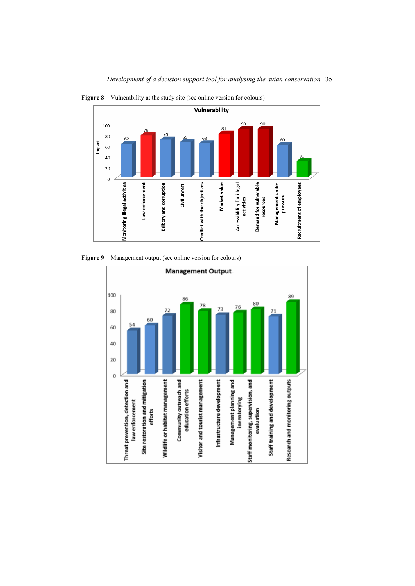

*Development of a decision support tool for analysing the avian conservation* 35



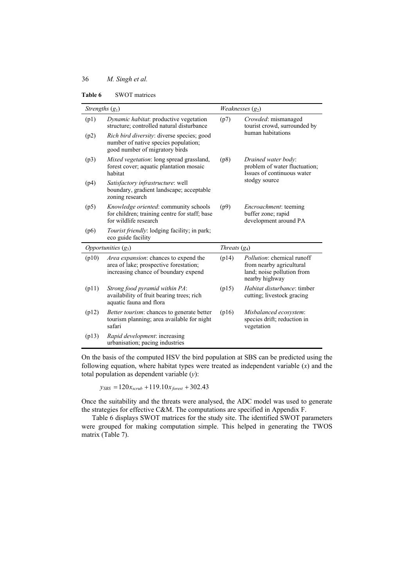|  | Table 6 | <b>SWOT</b> matrices |
|--|---------|----------------------|
|--|---------|----------------------|

| Strengths $(g_1)$ |                                                                                                                         |                 | Weaknesses $(g_2)$                                                                                            |
|-------------------|-------------------------------------------------------------------------------------------------------------------------|-----------------|---------------------------------------------------------------------------------------------------------------|
| (p1)              | Dynamic habitat: productive vegetation<br>structure; controlled natural disturbance                                     | (p7)            | Crowded: mismanaged<br>tourist crowd, surrounded by                                                           |
| (p2)              | Rich bird diversity: diverse species; good<br>number of native species population;<br>good number of migratory birds    |                 | human habitations                                                                                             |
| (p3)              | Mixed vegetation: long spread grassland,<br>forest cover; aquatic plantation mosaic<br>habitat                          | (p8)            | Drained water body:<br>problem of water fluctuation;<br>Issues of continuous water                            |
| (p4)              | Satisfactory infrastructure: well<br>boundary, gradient landscape; acceptable<br>zoning research                        |                 | stodgy source                                                                                                 |
| (p5)              | <i>Knowledge oriented:</i> community schools<br>for children; training centre for staff; base<br>for wildlife research  | (p9)            | <i>Encroachment</i> : teeming<br>buffer zone; rapid<br>development around PA                                  |
| (p6)              | <i>Tourist friendly:</i> lodging facility; in park;<br>eco guide facility                                               |                 |                                                                                                               |
|                   | Opportunities $(g_3)$                                                                                                   | Threats $(g_4)$ |                                                                                                               |
| (p10)             | Area expansion: chances to expend the<br>area of lake; prospective forestation;<br>increasing chance of boundary expend | (p14)           | <i>Pollution:</i> chemical runoff<br>from nearby agricultural<br>land; noise pollution from<br>nearby highway |
| (p11)             | Strong food pyramid within PA:<br>availability of fruit bearing trees; rich<br>aquatic fauna and flora                  | (p15)           | Habitat disturbance: timber<br>cutting; livestock gracing                                                     |
| (p12)             | <i>Better tourism:</i> chances to generate better<br>tourism planning; area available for night<br>safari               | (p16)           | Misbalanced ecosystem:<br>species drift; reduction in<br>vegetation                                           |
| (p13)             | Rapid development: increasing<br>urbanisation; pacing industries                                                        |                 |                                                                                                               |

On the basis of the computed HSV the bird population at SBS can be predicted using the following equation, where habitat types were treated as independent variable (*x*) and the total population as dependent variable (*y*):

 $y_{SBS} = 120 x_{scrub} + 119.10 x_{forest} + 302.43$ 

Once the suitability and the threats were analysed, the ADC model was used to generate the strategies for effective C&M. The computations are specified in Appendix F.

Table 6 displays SWOT matrices for the study site. The identified SWOT parameters were grouped for making computation simple. This helped in generating the TWOS matrix (Table 7).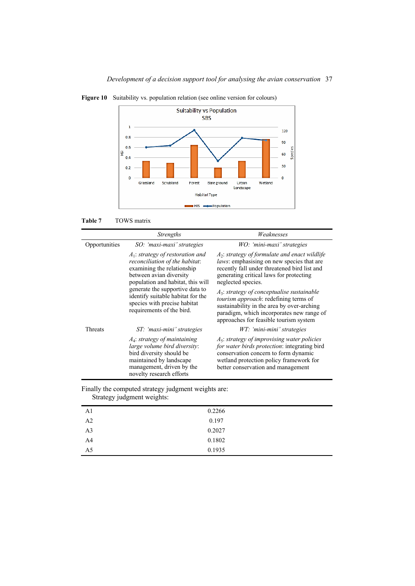





|               | <i>Strengths</i>                                                                                                                                                                | Weaknesses                                                                                                                                                                                                                         |
|---------------|---------------------------------------------------------------------------------------------------------------------------------------------------------------------------------|------------------------------------------------------------------------------------------------------------------------------------------------------------------------------------------------------------------------------------|
| Opportunities | SO: 'maxi-maxi' strategies                                                                                                                                                      | WO: 'mini-maxi' strategies                                                                                                                                                                                                         |
|               | $A_1$ : strategy of restoration and<br>reconciliation of the habitat:<br>examining the relationship<br>between avian diversity<br>population and habitat, this will             | $A_2$ : strategy of formulate and enact wildlife<br>laws: emphasising on new species that are<br>recently fall under threatened bird list and<br>generating critical laws for protecting<br>neglected species.                     |
|               | generate the supportive data to<br>identify suitable habitat for the<br>species with precise habitat<br>requirements of the bird.                                               | $A_3$ : strategy of conceptualise sustainable<br><i>tourism approach:</i> redefining terms of<br>sustainability in the area by over-arching<br>paradigm, which incorporates new range of<br>approaches for feasible tourism system |
| Threats       | ST: 'maxi-mini' strategies                                                                                                                                                      | WT: 'mini-mini' strategies                                                                                                                                                                                                         |
|               | $A_4$ : strategy of maintaining<br>large volume bird diversity:<br>bird diversity should be<br>maintained by landscape<br>management, driven by the<br>novelty research efforts | $A_5$ : strategy of improvising water policies<br>for water birds protection: integrating bird<br>conservation concern to form dynamic<br>wetland protection policy framework for<br>better conservation and management            |

| A <sub>1</sub> | 0.2266 |
|----------------|--------|
| A2             | 0.197  |
| A <sub>3</sub> | 0.2027 |
| A <sub>4</sub> | 0.1802 |
| A <sub>5</sub> | 0.1935 |

| Finally the computed strategy judgment weights are: |  |
|-----------------------------------------------------|--|
| Strategy judgment weights:                          |  |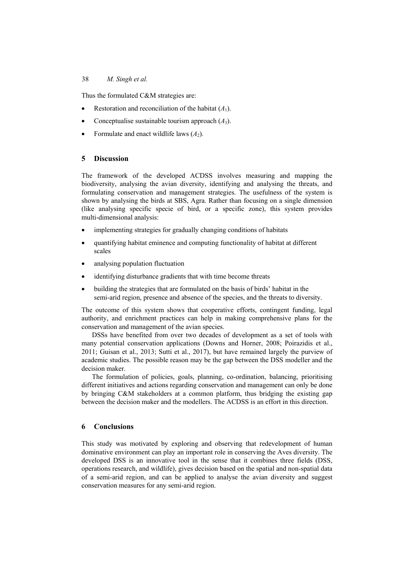Thus the formulated C&M strategies are:

- Restoration and reconciliation of the habitat  $(A_1)$ .
- Conceptualise sustainable tourism approach  $(A_3)$ .
- Formulate and enact wildlife laws  $(A_2)$ .

#### **5 Discussion**

The framework of the developed ACDSS involves measuring and mapping the biodiversity, analysing the avian diversity, identifying and analysing the threats, and formulating conservation and management strategies. The usefulness of the system is shown by analysing the birds at SBS, Agra. Rather than focusing on a single dimension (like analysing specific specie of bird, or a specific zone), this system provides multi-dimensional analysis:

- implementing strategies for gradually changing conditions of habitats
- quantifying habitat eminence and computing functionality of habitat at different scales
- analysing population fluctuation
- identifying disturbance gradients that with time become threats
- building the strategies that are formulated on the basis of birds' habitat in the semi-arid region, presence and absence of the species, and the threats to diversity.

The outcome of this system shows that cooperative efforts, contingent funding, legal authority, and enrichment practices can help in making comprehensive plans for the conservation and management of the avian species.

DSSs have benefited from over two decades of development as a set of tools with many potential conservation applications (Downs and Horner, 2008; Poirazidis et al., 2011; Guisan et al., 2013; Sutti et al., 2017), but have remained largely the purview of academic studies. The possible reason may be the gap between the DSS modeller and the decision maker.

The formulation of policies, goals, planning, co-ordination, balancing, prioritising different initiatives and actions regarding conservation and management can only be done by bringing C&M stakeholders at a common platform, thus bridging the existing gap between the decision maker and the modellers. The ACDSS is an effort in this direction.

### **6 Conclusions**

This study was motivated by exploring and observing that redevelopment of human dominative environment can play an important role in conserving the Aves diversity. The developed DSS is an innovative tool in the sense that it combines three fields (DSS, operations research, and wildlife), gives decision based on the spatial and non-spatial data of a semi-arid region, and can be applied to analyse the avian diversity and suggest conservation measures for any semi-arid region.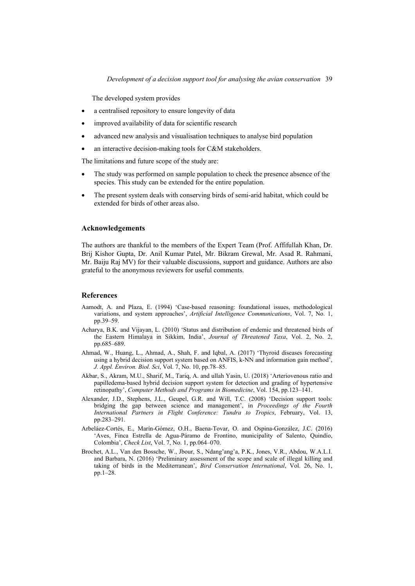The developed system provides

- a centralised repository to ensure longevity of data
- improved availability of data for scientific research
- advanced new analysis and visualisation techniques to analyse bird population
- an interactive decision-making tools for C&M stakeholders.

The limitations and future scope of the study are:

- The study was performed on sample population to check the presence absence of the species. This study can be extended for the entire population.
- The present system deals with conserving birds of semi-arid habitat, which could be extended for birds of other areas also.

#### **Acknowledgements**

The authors are thankful to the members of the Expert Team (Prof. Affifullah Khan, Dr. Brij Kishor Gupta, Dr. Anil Kumar Patel, Mr. Bikram Grewal, Mr. Asad R. Rahmani, Mr. Baiju Raj MV) for their valuable discussions, support and guidance. Authors are also grateful to the anonymous reviewers for useful comments.

#### **References**

- Aamodt, A. and Plaza, E. (1994) 'Case-based reasoning: foundational issues, methodological variations, and system approaches', *Artificial Intelligence Communications*, Vol. 7, No. 1, pp.39–59.
- Acharya, B.K. and Vijayan, L. (2010) 'Status and distribution of endemic and threatened birds of the Eastern Himalaya in Sikkim, India', *Journal of Threatened Taxa*, Vol. 2, No. 2, pp.685–689.
- Ahmad, W., Huang, L., Ahmad, A., Shah, F. and Iqbal, A. (2017) 'Thyroid diseases forecasting using a hybrid decision support system based on ANFIS, k-NN and information gain method', *J. Appl. Environ. Biol. Sci*, Vol. 7, No. 10, pp.78–85.
- Akbar, S., Akram, M.U., Sharif, M., Tariq, A. and ullah Yasin, U. (2018) 'Arteriovenous ratio and papilledema-based hybrid decision support system for detection and grading of hypertensive retinopathy', *Computer Methods and Programs in Biomedicine*, Vol. 154, pp.123–141.
- Alexander, J.D., Stephens, J.L., Geupel, G.R. and Will, T.C. (2008) 'Decision support tools: bridging the gap between science and management', in *Proceedings of the Fourth International Partners in Flight Conference: Tundra to Tropics*, February, Vol. 13, pp.283–291.
- Arbeláez-Cortés, E., Marín-Gómez, O.H., Baena-Tovar, O. and Ospina-González, J.C. (2016) 'Aves, Finca Estrella de Agua-Páramo de Frontino, municipality of Salento, Quindío, Colombia', *Check List*, Vol. 7, No. 1, pp.064–070.
- Brochet, A.L., Van den Bossche, W., Jbour, S., Ndang'ang'a, P.K., Jones, V.R., Abdou, W.A.L.I. and Barbara, N. (2016) 'Preliminary assessment of the scope and scale of illegal killing and taking of birds in the Mediterranean', *Bird Conservation International*, Vol. 26, No. 1, pp.1–28.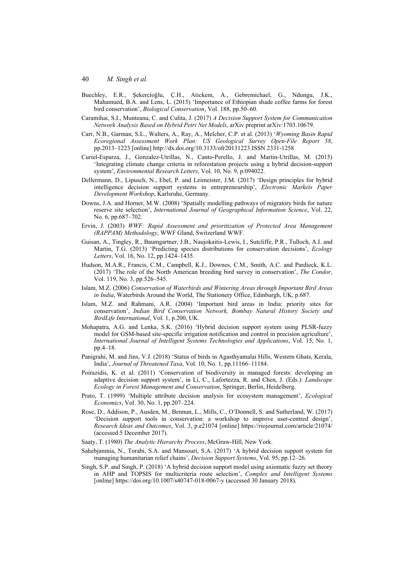- Buechley, E.R., Şekercioğlu, Ç.H., Atickem, A., Gebremichael, G., Ndungu, J.K., Mahamued, B.A. and Lens, L. (2015) 'Importance of Ethiopian shade coffee farms for forest bird conservation', *Biological Conservation*, Vol. 188, pp.50–60.
- Caramihai, S.I., Munteanu, C. and Culita, J. (2017) *A Decision Support System for Communication Network Analysis Based on Hybrid Petri Net Models*, arXiv preprint arXiv:1703.10679.
- Carr, N.B., Garman, S.L., Walters, A., Ray, A., Melcher, C.P. et al. (2013) '*Wyoming Basin Rapid Ecoregional Assessment Work Plan: US Geological Survey Open-File Report 58*, pp.2013–1223 [online] http://dx.doi.org/10.3133/ofr20131223.ISSN 2331-1258
- Curiel-Esparza, J., Gonzalez-Utrillas, N., Canto-Perello, J. and Martin-Utrillas, M. (2015) 'Integrating climate change criteria in reforestation projects using a hybrid decision-support system', *Environmental Research Letters*, Vol. 10, No. 9, p.094022.
- Dellermann, D., Lipusch, N., Ebel, P. and Leimeister, J.M. (2017) 'Design principles for hybrid intelligence decision support systems in entrepreneurship', *Electronic Markets Paper Development Workshop*, Karlsruhe, Germany.
- Downs, J.A. and Horner, M.W. (2008) 'Spatially modelling pathways of migratory birds for nature reserve site selection', *International Journal of Geographical Information Science*, Vol. 22, No. 6, pp.687–702.
- Ervin, J. (2003) *WWF: Rapid Assessment and prioritization of Protected Area Management (RAPPAM) Methodology*, WWF Gland, Switzerland WWF.
- Guisan, A., Tingley, R., Baumgartner, J.B., Naujokaitis-Lewis, I., Sutcliffe, P.R., Tulloch, A.I. and Martin, T.G. (2013) 'Predicting species distributions for conservation decisions', *Ecology Letters*, Vol. 16, No. 12, pp.1424–1435.
- Hudson, M.A.R., Francis, C.M., Campbell, K.J., Downes, C.M., Smith, A.C. and Pardieck, K.L. (2017) 'The role of the North American breeding bird survey in conservation', *The Condor*, Vol. 119, No. 3, pp.526–545.
- Islam, M.Z. (2006) *Conservation of Waterbirds and Wintering Areas through Important Bird Areas in India*, Waterbirds Around the World, The Stationery Office, Edinburgh, UK, p.687.
- Islam, M.Z. and Rahmani, A.R. (2004) 'Important bird areas in India: priority sites for conservation', *Indian Bird Conservation Network, Bombay Natural History Society and BirdLife International*, Vol. 1, p.200, UK.
- Mohapatra, A.G. and Lenka, S.K. (2016) 'Hybrid decision support system using PLSR-fuzzy model for GSM-based site-specific irrigation notification and control in precision agriculture', *International Journal of Intelligent Systems Technologies and Applications*, Vol. 15, No. 1, pp.4–18.
- Panigrahi, M. and Jins, V.J. (2018) 'Status of birds in Agasthyamalai Hills, Western Ghats, Kerala, India', *Journal of Threatened Taxa*, Vol. 10, No. 1, pp.11166–11184.
- Poirazidis, K. et al. (2011) 'Conservation of biodiversity in managed forests: developing an adaptive decision support system', in Li, C., Lafortezza, R. and Chen, J. (Eds.): *Landscape Ecology in Forest Management and Conservation*, Springer, Berlin, Heidelberg.
- Prato, T. (1999) 'Multiple attribute decision analysis for ecosystem management', *Ecological Economics*, Vol. 30, No. 1, pp.207–224.
- Rose, D., Addison, P., Ausden, M., Bennun, L., Mills, C., O'Donnell, S. and Sutherland, W. (2017) 'Decision support tools in conservation: a workshop to improve user-centred design', *Research Ideas and Outcomes*, Vol. 3, p.e21074 [online] https://riojournal.com/article/21074/ (accessed 5 December 2017).
- Saaty, T. (1980) *The Analytic Hierarchy Process*, McGraw-Hill, New York.
- Sahebjamnia, N., Torabi, S.A. and Mansouri, S.A. (2017) 'A hybrid decision support system for managing humanitarian relief chains', *Decision Support Systems*, Vol. 95, pp.12–26.
- Singh, S.P. and Singh, P. (2018) 'A hybrid decision support model using axiomatic fuzzy set theory in AHP and TOPSIS for multicriteria route selection', *Complex and Intelligent Systems* [online] https://doi.org/10.1007/s40747-018-0067-y (accessed 30 January 2018).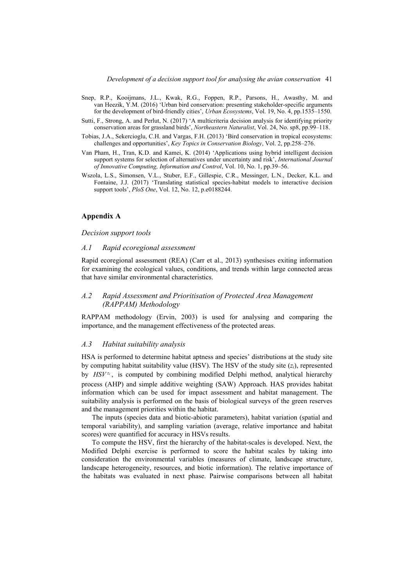- Snep, R.P., Kooijmans, J.L., Kwak, R.G., Foppen, R.P., Parsons, H., Awasthy, M. and van Heezik, Y.M. (2016) 'Urban bird conservation: presenting stakeholder-specific arguments for the development of bird-friendly cities', *Urban Ecosystems*, Vol. 19, No. 4, pp.1535–1550.
- Sutti, F., Strong, A. and Perlut, N. (2017) 'A multicriteria decision analysis for identifying priority conservation areas for grassland birds', *Northeastern Naturalist*, Vol. 24, No. sp8, pp.99–118.
- Tobias, J.A., Sekercioglu, C.H. and Vargas, F.H. (2013) 'Bird conservation in tropical ecosystems: challenges and opportunities', *Key Topics in Conservation Biology*, Vol. 2, pp.258–276.
- Van Pham, H., Tran, K.D. and Kamei, K. (2014) 'Applications using hybrid intelligent decision support systems for selection of alternatives under uncertainty and risk', *International Journal of Innovative Computing, Information and Control*, Vol. 10, No. 1, pp.39–56.
- Wszola, L.S., Simonsen, V.L., Stuber, E.F., Gillespie, C.R., Messinger, L.N., Decker, K.L. and Fontaine, J.J. (2017) 'Translating statistical species-habitat models to interactive decision support tools', *PloS One*, Vol. 12, No. 12, p.e0188244.

#### **Appendix A**

#### *Decision support tools*

#### *A.1 Rapid ecoregional assessment*

Rapid ecoregional assessment (REA) (Carr et al., 2013) synthesises exiting information for examining the ecological values, conditions, and trends within large connected areas that have similar environmental characteristics.

### *A.2 Rapid Assessment and Prioritisation of Protected Area Management (RAPPAM) Methodology*

RAPPAM methodology (Ervin, 2003) is used for analysing and comparing the importance, and the management effectiveness of the protected areas.

#### *A.3 Habitat suitability analysis*

HSA is performed to determine habitat aptness and species' distributions at the study site by computing habitat suitability value (HSV). The HSV of the study site (*zi*), represented by  $HSV^{z_i}$ , is computed by combining modified Delphi method, analytical hierarchy process (AHP) and simple additive weighting (SAW) Approach. HAS provides habitat information which can be used for impact assessment and habitat management. The suitability analysis is performed on the basis of biological surveys of the green reserves and the management priorities within the habitat.

The inputs (species data and biotic-abiotic parameters), habitat variation (spatial and temporal variability), and sampling variation (average, relative importance and habitat scores) were quantified for accuracy in HSVs results.

To compute the HSV, first the hierarchy of the habitat-scales is developed. Next, the Modified Delphi exercise is performed to score the habitat scales by taking into consideration the environmental variables (measures of climate, landscape structure, landscape heterogeneity, resources, and biotic information). The relative importance of the habitats was evaluated in next phase. Pairwise comparisons between all habitat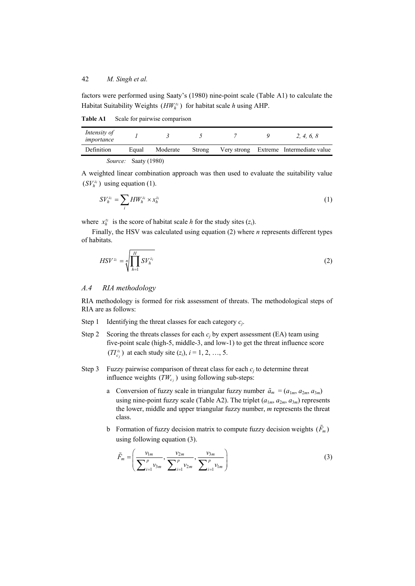factors were performed using Saaty's (1980) nine-point scale (Table A1) to calculate the Habitat Suitability Weights  $(HW_h^{z_i})$  for habitat scale *h* using AHP.

**Table A1** Scale for pairwise comparison

| Intensity of<br>importance |                             |          |        |  | 2. 4. 6. 8                             |
|----------------------------|-----------------------------|----------|--------|--|----------------------------------------|
| Definition                 | Equal                       | Moderate | Strong |  | Very strong Extreme Intermediate value |
|                            | <i>Source:</i> Saaty (1980) |          |        |  |                                        |

A weighted linear combination approach was then used to evaluate the suitability value  $(SV_h^{z_i})$  using equation (1).

$$
SV_h^{z_i} = \sum_i HW_h^{z_i} \times x_h^{z_i}
$$
 (1)

where  $x_h^{z_i}$  is the score of habitat scale *h* for the study sites  $(z_i)$ .

Finally, the HSV was calculated using equation (2) where *n* represents different types of habitats.

$$
HSV^{z_i} = \sqrt[m]{\prod_{h=1}^{H} SV_h^{z_i}}
$$
 (2)

#### *A.4 RIA methodology*

RIA methodology is formed for risk assessment of threats. The methodological steps of RIA are as follows:

- Step 1 Identifying the threat classes for each category *cj*.
- Step 2 Scoring the threats classes for each  $c_j$  by expert assessment (EA) team using five-point scale (high-5, middle-3, and low-1) to get the threat influence score  $(TI_{c_j}^{z_i})$  at each study site  $(z_i)$ ,  $i = 1, 2, ..., 5$ .
- Step 3 Fuzzy pairwise comparison of threat class for each  $c_i$  to determine threat influence weights  $(TW_{c_i})$  using following sub-steps:
	- a Conversion of fuzzy scale in triangular fuzzy number  $\tilde{a}_m = (a_{1m}, a_{2m}, a_{3m})$ using nine-point fuzzy scale (Table A2). The triplet  $(a_{1m}, a_{2m}, a_{3m})$  represents the lower, middle and upper triangular fuzzy number, *m* represents the threat class.
	- b Formation of fuzzy decision matrix to compute fuzzy decision weights  $(\tilde{F}_m)$ using following equation (3).

$$
\tilde{F}_m = \left(\frac{v_{1m}}{\sum_{i=1}^p v_{3m}}, \frac{v_{2m}}{\sum_{i=1}^p v_{2m}}, \frac{v_{3m}}{\sum_{i=1}^p v_{1m}}\right)
$$
(3)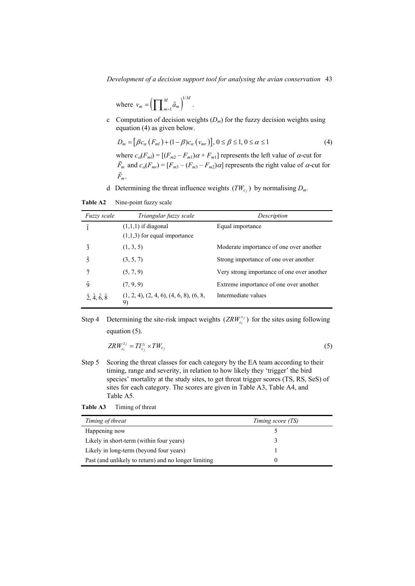*Development of a decision support tool for analysing the avian conservation* 43

where 
$$
v_m = \left(\prod_{m=1}^M \tilde{a}_m\right)^{1/M}
$$
.

c Computation of decision weights (*Dm*) for the fuzzy decision weights using equation (4) as given below.

$$
D_m = [\beta c_\alpha (F_{ml}) + (1 - \beta) c_\alpha (v_{mr})], 0 \le \beta \le 1, 0 \le \alpha \le 1
$$
\n
$$
(4)
$$

where  $c_{\alpha}(F_{ml}) = [(F_{m2} - F_{m1})\alpha + F_{m1}]$  represents the left value of  $\alpha$ -cut for  $\tilde{F}_m$  and  $c_{\alpha}(F_{mr}) = [F_{m3} - (F_{m3} - F_{m2})\alpha]$  represents the right value of  $\alpha$ -cut for  $\tilde{F}_m$ .

d Determining the threat influence weights  $(TW_{c_i})$  by normalising  $D_m$ .

**Table A2** Nine-point fuzzy scale

| <i>Fuzzy scale</i>                           | Triangular fuzzy scale                    | Description                                |
|----------------------------------------------|-------------------------------------------|--------------------------------------------|
| ĩ                                            | $(1,1,1)$ if diagonal                     | Equal importance                           |
|                                              | $(1,1,3)$ for equal importance            |                                            |
| $\tilde{3}$                                  | (1, 3, 5)                                 | Moderate importance of one over another    |
| ξ                                            | (3, 5, 7)                                 | Strong importance of one over another      |
| ñ                                            | (5, 7, 9)                                 | Very strong importance of one over another |
| õ                                            | (7, 9, 9)                                 | Extreme importance of one over another     |
| $\tilde{2}, \tilde{4}, \tilde{6}, \tilde{8}$ | $(1, 2, 4), (2, 4, 6), (4, 6, 8), (6, 8,$ | Intermediate values                        |

Step 4 Determining the site-risk impact weights  $(ZRW_{c_i}^{z_j})$  $ZRW_{c_i}^{z_j}$  for the sites using following equation (5).

$$
ZRW_{c_i}^{z_j} = TI_{c_j}^{z_i} \times TW_{c_j} \tag{5}
$$

Step 5 Scoring the threat classes for each category by the EA team according to their timing, range and severity, in relation to how likely they 'trigger' the bird species' mortality at the study sites, to get threat trigger scores (TS, RS, SeS) of sites for each category. The scores are given in Table A3, Table A4, and Table A5.

| Table A3 | Timing of threat |
|----------|------------------|
|----------|------------------|

| Timing of threat                                     | Timing score (TS) |
|------------------------------------------------------|-------------------|
| Happening now                                        |                   |
| Likely in short-term (within four years)             |                   |
| Likely in long-term (beyond four years)              |                   |
| Past (and unlikely to return) and no longer limiting |                   |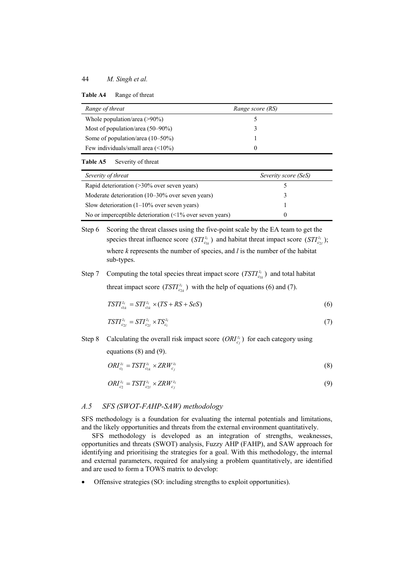| Range of threat                     | Range score (RS) |  |
|-------------------------------------|------------------|--|
| Whole population/area $(>90\%)$     |                  |  |
| Most of population/area $(50-90\%)$ |                  |  |
| Some of population/area $(10-50\%)$ |                  |  |
| Few individuals/small area $($      |                  |  |

#### **Table A5** Severity of threat

| Severity of threat                                         | Severity score (SeS) |
|------------------------------------------------------------|----------------------|
| Rapid deterioration $($ >30% over seven years)             |                      |
| Moderate deterioration (10–30% over seven years)           |                      |
| Slow deterioration $(1-10\%$ over seven years)             |                      |
| No or imperceptible deterioration $($ 1% over seven years) |                      |

Step 6 Scoring the threat classes using the five-point scale by the EA team to get the species threat influence score  $(STI_{c_{1k}}^{z_i})$  and habitat threat impact score  $(STI_{c_{2l}}^{z_i})$ ; where *k* represents the number of species, and *l* is the number of the habitat sub-types.

Step 7 Computing the total species threat impact score  $(TSTI_{c_{ik}}^{z_i})$  and total habitat threat impact score  $(TSTI_{c_{2k}}^{z_i})$  with the help of equations (6) and (7).

$$
TSTI_{c_{1k}}^{z_i} = STI_{c_{1k}}^{z_i} \times (TS + RS + SeS)
$$
\n
$$
\tag{6}
$$

$$
TSTI_{c_{2l}}^{z_i} = STI_{c_{2l}}^{z_i} \times TS_{c_i}^{z_i}
$$
\n<sup>(7)</sup>

Step 8 Calculating the overall risk impact score  $(ORI_{c_j}^{z_i})$  for each category using equations (8) and (9).

$$
ORI_{c_1}^{z_i} = TSTI_{c_{1k}}^{z_i} \times \mathbb{ZRW}_{c_j}^{z_i} \tag{8}
$$

$$
ORI_{c_2}^{z_i} = TSTI_{c_{2l}}^{z_i} \times ZRW_{c_i}^{z_i}
$$
\n(9)

#### *A.5 SFS (SWOT-FAHP-SAW) methodology*

SFS methodology is a foundation for evaluating the internal potentials and limitations, and the likely opportunities and threats from the external environment quantitatively.

SFS methodology is developed as an integration of strengths, weaknesses, opportunities and threats (SWOT) analysis, Fuzzy AHP (FAHP), and SAW approach for identifying and prioritising the strategies for a goal. With this methodology, the internal and external parameters, required for analysing a problem quantitatively, are identified and are used to form a TOWS matrix to develop:

Offensive strategies (SO: including strengths to exploit opportunities).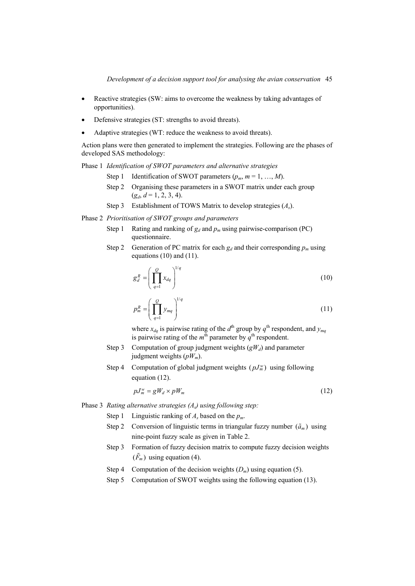- Reactive strategies (SW: aims to overcome the weakness by taking advantages of opportunities).
- Defensive strategies (ST: strengths to avoid threats).
- Adaptive strategies (WT: reduce the weakness to avoid threats).

Action plans were then generated to implement the strategies. Following are the phases of developed SAS methodology:

Phase 1 *Identification of SWOT parameters and alternative strategies*

- Step 1 Identification of SWOT parameters  $(p_m, m = 1, ..., M)$ .
- Step 2 Organising these parameters in a SWOT matrix under each group  $(g_d, d = 1, 2, 3, 4).$
- Step 3 Establishment of TOWS Matrix to develop strategies (*As*).

Phase 2 *Prioritisation of SWOT groups and parameters*

- Step 1 Rating and ranking of  $g_d$  and  $p_m$  using pairwise-comparison (PC) questionnaire.
- Step 2 Generation of PC matrix for each  $g_d$  and their corresponding  $p_m$  using equations (10) and (11).

$$
g_d^R = \left(\prod_{q=1}^Q x_{dq}\right)^{1/q} \tag{10}
$$

$$
p_m^R = \left(\prod_{q=1}^Q y_{mq}\right)^{1/q} \tag{11}
$$

where  $x_{dq}$  is pairwise rating of the  $d^{\text{th}}$  group by  $q^{\text{th}}$  respondent, and  $y_{mq}$ is pairwise rating of the  $m<sup>th</sup>$  parameter by  $q<sup>th</sup>$  respondent.

- Step 3 Computation of group judgment weights  $(gW_d)$  and parameter judgment weights (*pWm*).
- Step 4 Computation of global judgment weights  $(pJ_m^w)$  using following equation (12).

$$
pJ_m^{\mathbf{w}} = gW_d \times pW_m \tag{12}
$$

Phase 3 *Rating alternative strategies (As) using following step:*

- Step 1 Linguistic ranking of *A<sub>s</sub>* based on the  $p_m$ .
- Step 2 Conversion of linguistic terms in triangular fuzzy number  $(\tilde{a}_m)$  using nine-point fuzzy scale as given in Table 2.
- Step 3 Formation of fuzzy decision matrix to compute fuzzy decision weights  $(\tilde{F}_m)$  using equation (4).
- Step 4 Computation of the decision weights  $(D_m)$  using equation (5).
- Step 5 Computation of SWOT weights using the following equation (13).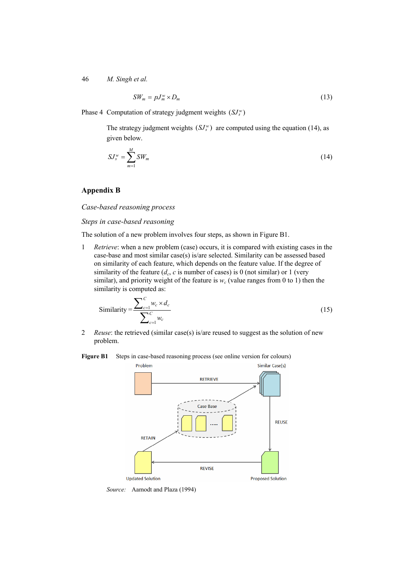$$
SW_m = pJ_m^w \times D_m \tag{13}
$$

Phase 4 Computation of strategy judgment weights  $(SJ_s^w)$ 

The strategy judgment weights  $(SJ_{s}^{w})$  are computed using the equation (14), as given below.

$$
SJ_s^w = \sum_{m=1}^M SW_m \tag{14}
$$

### **Appendix B**

*Case-based reasoning process* 

#### *Steps in case-based reasoning*

The solution of a new problem involves four steps, as shown in Figure B1.

1 *Retrieve*: when a new problem (case) occurs, it is compared with existing cases in the case-base and most similar case(s) is/are selected. Similarity can be assessed based on similarity of each feature, which depends on the feature value. If the degree of similarity of the feature  $(d_c, c$  is number of cases) is 0 (not similar) or 1 (very similar), and priority weight of the feature is  $w_c$  (value ranges from 0 to 1) then the similarity is computed as:

$$
\text{Similarity} = \frac{\sum_{c=1}^{C} w_c \times d_c}{\sum_{c=1}^{C} w_c}
$$
\n(15)

2 *Reuse*: the retrieved (similar case(s) is/are reused to suggest as the solution of new problem.

Figure B1 Steps in case-based reasoning process (see online version for colours)



*Source:* Aamodt and Plaza (1994)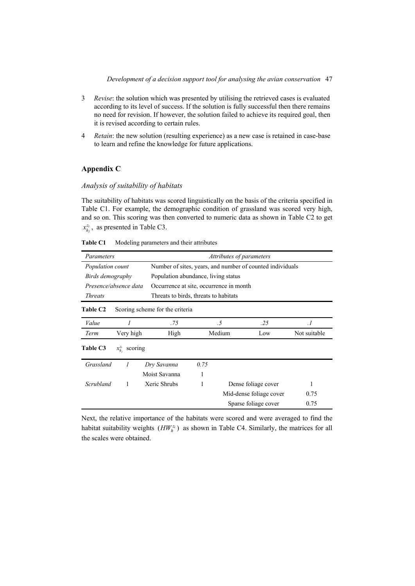- 3 *Revise*: the solution which was presented by utilising the retrieved cases is evaluated according to its level of success. If the solution is fully successful then there remains no need for revision. If however, the solution failed to achieve its required goal, then it is revised according to certain rules.
- 4 *Retain*: the new solution (resulting experience) as a new case is retained in case-base to learn and refine the knowledge for future applications.

### **Appendix C**

### *Analysis of suitability of habitats*

The suitability of habitats was scored linguistically on the basis of the criteria specified in Table C1. For example, the demographic condition of grassland was scored very high, and so on. This scoring was then converted to numeric data as shown in Table C2 to get  $x_{h_j}^{z_i}$ , as presented in Table C3.

**Table C1** Modeling parameters and their attributes

|                  | Attributes of parameters<br>Parameters |                                       |                                                           |        |                         |              |  |  |
|------------------|----------------------------------------|---------------------------------------|-----------------------------------------------------------|--------|-------------------------|--------------|--|--|
| Population count |                                        |                                       | Number of sites, years, and number of counted individuals |        |                         |              |  |  |
| Birds demography |                                        |                                       | Population abundance, living status                       |        |                         |              |  |  |
|                  | Presence/absence data                  |                                       | Occurrence at site, occurrence in month                   |        |                         |              |  |  |
| <b>Threats</b>   |                                        | Threats to birds, threats to habitats |                                                           |        |                         |              |  |  |
| <b>Table C2</b>  |                                        | Scoring scheme for the criteria       |                                                           |        |                         |              |  |  |
| Value            |                                        | .75                                   |                                                           | .5     | .25                     | $\cdot$ 1    |  |  |
| Term             | Very high                              | High                                  |                                                           | Medium | Low                     | Not suitable |  |  |
| Table C3         | $x_{h_i}^{z_i}$ scoring                |                                       |                                                           |        |                         |              |  |  |
| Grassland        |                                        | Dry Savanna                           | 0.75                                                      |        |                         |              |  |  |
|                  |                                        | Moist Savanna                         | 1                                                         |        |                         |              |  |  |
| Scrubland        | 1                                      | Xeric Shrubs                          |                                                           |        | Dense foliage cover     |              |  |  |
|                  |                                        |                                       |                                                           |        | Mid-dense foliage cover | 0.75         |  |  |
|                  |                                        |                                       |                                                           |        | Sparse foliage cover    | 0.75         |  |  |

Next, the relative importance of the habitats were scored and were averaged to find the habitat suitability weights  $(HW_h^{z_i})$  as shown in Table C4. Similarly, the matrices for all the scales were obtained.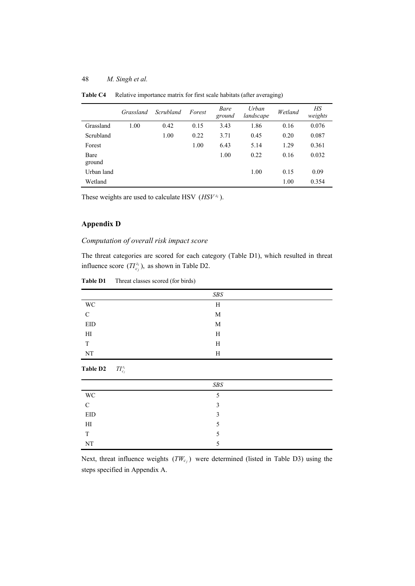|                | Grassland | Scrubland | Forest | Bare<br>ground | Urban<br>landscape | Wetland | HS<br>weights |
|----------------|-----------|-----------|--------|----------------|--------------------|---------|---------------|
| Grassland      | 1.00      | 0.42      | 0.15   | 3.43           | 1.86               | 0.16    | 0.076         |
| Scrubland      |           | 1.00      | 0.22   | 3.71           | 0.45               | 0.20    | 0.087         |
| Forest         |           |           | 1.00   | 6.43           | 5.14               | 1.29    | 0.361         |
| Bare<br>ground |           |           |        | 1.00           | 0.22               | 0.16    | 0.032         |
| Urban land     |           |           |        |                | 1.00               | 0.15    | 0.09          |
| Wetland        |           |           |        |                |                    | 1.00    | 0.354         |

**Table C4** Relative importance matrix for first scale habitats (after averaging)

These weights are used to calculate HSV  $(HSV^{z_i})$ .

## **Appendix D**

**Table D2** *<sup>i</sup>*

 $TI_c^z$ 

### *Computation of overall risk impact score*

The threat categories are scored for each category (Table D1), which resulted in threat influence score  $(TI_{c_j}^{z_i})$ , as shown in Table D2.

|                            | $S\!B\!S$ |  |
|----------------------------|-----------|--|
| WC                         | H         |  |
| $\mathcal{C}$              | M         |  |
| EID                        | M         |  |
| $\mathop{\rm HI}\nolimits$ | H         |  |
| T                          | H         |  |
| NT                         | H         |  |
|                            |           |  |

**Table D1** Threat classes scored (for birds)

|               | SBS |  |
|---------------|-----|--|
| <b>WC</b>     |     |  |
| $\mathcal{C}$ | 3   |  |
| EID           | 3   |  |
| H             |     |  |
| T             |     |  |
| NT            |     |  |

Next, threat influence weights  $(TW_{c_j})$  were determined (listed in Table D3) using the steps specified in Appendix A.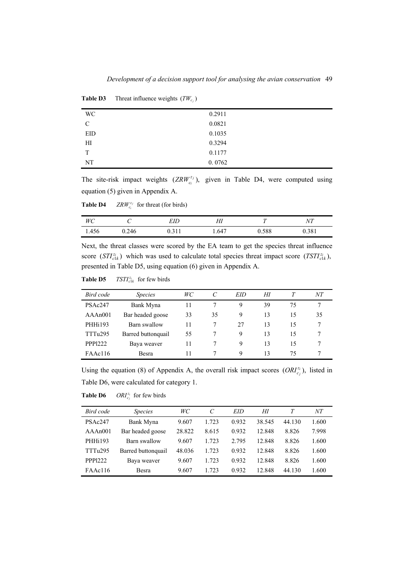| WC.           | 0.2911 |  |
|---------------|--------|--|
| $\mathcal{C}$ | 0.0821 |  |
| EID           | 0.1035 |  |
| HІ            | 0.3294 |  |
| T             | 0.1177 |  |
| NT            | 0.0762 |  |

**Table D3** Threat influence weights  $(TW_{c_i})$ 

The site-risk impact weights  $(ZRW_{c_i}^{z_j})$ ,  $ZRW_{c_i}^{z_j}$ ), given in Table D4, were computed using equation (5) given in Appendix A.

**Table D4** *<sup>j</sup>*  $ZRW_{c_i}^{z_j}$  for threat (for birds)

| WC    | ◡     | EID           | ΗI   | $\tau$ | $_{NT}$ |
|-------|-------|---------------|------|--------|---------|
| 1.456 | J.246 | 21<br>V.J I I | .647 | 0.588  | 0.381   |

Next, the threat classes were scored by the EA team to get the species threat influence score  $\left(STZ_{\text{clk}}^{z_i}\right)$  which was used to calculate total species threat impact score  $\left(TSTZ_{\text{clk}}^{z_i}\right)$ , presented in Table D5, using equation (6) given in Appendix A.

**Table D5**  $TSTI_{c1k}^{z_i}$  for few birds

| Bird code           | <i>Species</i>     | WC |    | <b>EID</b> | HI |    | NT |
|---------------------|--------------------|----|----|------------|----|----|----|
| PSAc247             | Bank Myna          | 11 |    | 9          | 39 | 75 |    |
| AAAn001             | Bar headed goose   | 33 | 35 | 9          | 13 | 15 | 35 |
| PHHi193             | Barn swallow       | 11 |    | 27         | 13 | 15 |    |
| TTTu <sub>295</sub> | Barred buttonquail | 55 |    | 9          | 13 | 15 |    |
| <b>PPP1222</b>      | Baya weaver        | 11 |    | 9          | 13 | 15 |    |
| FAAc116             | <b>Besra</b>       | 11 |    | Q          | 13 | 75 |    |

Using the equation (8) of Appendix A, the overall risk impact scores  $(ORI_{c_j}^{z_i})$ , listed in Table D6, were calculated for category 1.

**Table D6** *<sup>i</sup>*  $ORI_{c_j}^{z_i}$  for few birds

| Bird code           | <i>Species</i>     | WC     | $\mathcal{C}$ | EID   | HI     |        | NT    |
|---------------------|--------------------|--------|---------------|-------|--------|--------|-------|
| PSAc247             | Bank Myna          | 9.607  | 1.723         | 0.932 | 38.545 | 44.130 | 1.600 |
| AAAn001             | Bar headed goose   | 28.822 | 8.615         | 0.932 | 12.848 | 8.826  | 7.998 |
| <b>PHHi193</b>      | Barn swallow       | 9.607  | 1.723         | 2.795 | 12.848 | 8.826  | 1.600 |
| TTTu <sub>295</sub> | Barred buttonquail | 48.036 | 1.723         | 0.932 | 12.848 | 8.826  | 1.600 |
| PPP1222             | Baya weaver        | 9.607  | 1.723         | 0.932 | 12.848 | 8.826  | 1.600 |
| FAAc116             | <b>Besra</b>       | 9.607  | 1.723         | 0.932 | 12.848 | 44.130 | 1.600 |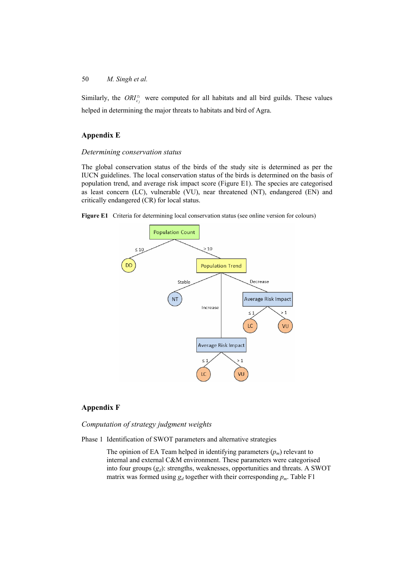Similarly, the  $ORI_{c_i}^{z_i}$  were computed for all habitats and all bird guilds. These values helped in determining the major threats to habitats and bird of Agra.

### **Appendix E**

#### *Determining conservation status*

The global conservation status of the birds of the study site is determined as per the IUCN guidelines. The local conservation status of the birds is determined on the basis of population trend, and average risk impact score (Figure E1). The species are categorised as least concern (LC), vulnerable (VU), near threatened (NT), endangered (EN) and critically endangered (CR) for local status.

**Figure E1** Criteria for determining local conservation status (see online version for colours)



### **Appendix F**

*Computation of strategy judgment weights* 

Phase 1 Identification of SWOT parameters and alternative strategies

The opinion of EA Team helped in identifying parameters  $(p_m)$  relevant to internal and external C&M environment. These parameters were categorised into four groups  $(g_d)$ : strengths, weaknesses, opportunities and threats. A SWOT matrix was formed using  $g_d$  together with their corresponding  $p_m$ . Table F1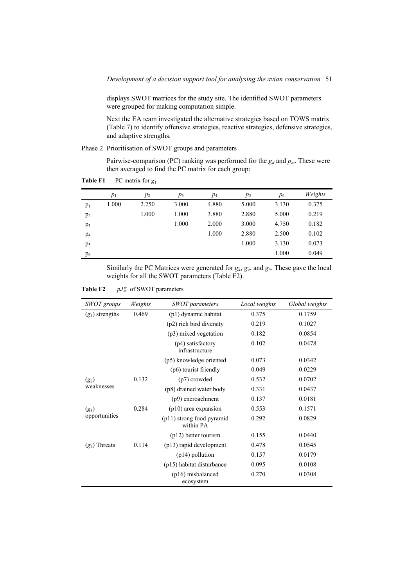displays SWOT matrices for the study site. The identified SWOT parameters were grouped for making computation simple.

Next the EA team investigated the alternative strategies based on TOWS matrix (Table 7) to identify offensive strategies, reactive strategies, defensive strategies, and adaptive strengths.

Phase 2 Prioritisation of SWOT groups and parameters

Pairwise-comparison (PC) ranking was performed for the  $g_d$  and  $p_m$ . These were then averaged to find the PC matrix for each group:

**Table F1** PC matrix for *g*<sup>1</sup>

|                | $p_1$ | $p_2$ | $p_3$ | $p_4$ | $p_5$ | $p_6$ | Weights |
|----------------|-------|-------|-------|-------|-------|-------|---------|
| $p_1$          | 1.000 | 2.250 | 3.000 | 4.880 | 5.000 | 3.130 | 0.375   |
| $p_2$          |       | 1.000 | 1.000 | 3.880 | 2.880 | 5.000 | 0.219   |
| p <sub>3</sub> |       |       | 1.000 | 2.000 | 3.000 | 4.750 | 0.182   |
| $p_4$          |       |       |       | 1.000 | 2.880 | 2.500 | 0.102   |
| p <sub>5</sub> |       |       |       |       | 1.000 | 3.130 | 0.073   |
| $p_6$          |       |       |       |       |       | 1.000 | 0.049   |

Similarly the PC Matrices were generated for *g*2, *g*3, and *g*4. These gave the local weights for all the SWOT parameters (Table F2).

| Table F2 |  |  | $pJ_m^{\rm w}$ of SWOT parameters |
|----------|--|--|-----------------------------------|
|----------|--|--|-----------------------------------|

| SWOT groups       | Weights | <b>SWOT</b> parameters                   | Local weights | Global weights |
|-------------------|---------|------------------------------------------|---------------|----------------|
| $(g_1)$ strengths | 0.469   | (p1) dynamic habitat                     | 0.375         | 0.1759         |
|                   |         | (p2) rich bird diversity                 | 0.219         | 0.1027         |
|                   |         | $(p3)$ mixed vegetation                  | 0.182         | 0.0854         |
|                   |         | (p4) satisfactory<br>infrastructure      | 0.102         | 0.0478         |
|                   |         | (p5) knowledge oriented                  | 0.073         | 0.0342         |
|                   |         | (p6) tourist friendly                    | 0.049         | 0.0229         |
| $(g_2)$           | 0.132   | $(p7)$ crowded                           | 0.532         | 0.0702         |
| weaknesses        |         | (p8) drained water body                  | 0.331         | 0.0437         |
|                   |         | (p9) encroachment                        | 0.137         | 0.0181         |
| $(g_3)$           | 0.284   | $(p10)$ area expansion                   | 0.553         | 0.1571         |
| opportunities     |         | $(p11)$ strong food pyramid<br>within PA | 0.292         | 0.0829         |
|                   |         | $(p12)$ better tourism                   | 0.155         | 0.0440         |
| $(g_4)$ Threats   | 0.114   | (p13) rapid development                  | 0.478         | 0.0545         |
|                   |         | $(p14)$ pollution                        | 0.157         | 0.0179         |
|                   |         | (p15) habitat disturbance                | 0.095         | 0.0108         |
|                   |         | $(p16)$ misbalanced<br>ecosystem         | 0.270         | 0.0308         |